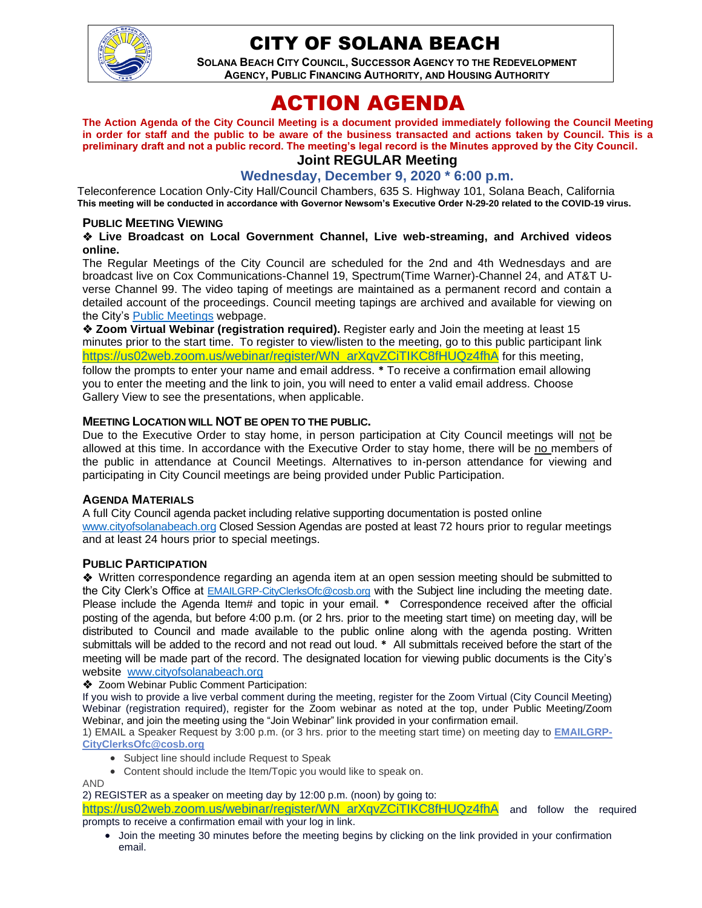

## CITY OF SOLANA BEACH

**SOLANA BEACH CITY COUNCIL, SUCCESSOR AGENCY TO THE REDEVELOPMENT AGENCY, PUBLIC FINANCING AUTHORITY, AND HOUSING AUTHORITY** 

# ACTION AGENDA

**The Action Agenda of the City Council Meeting is a document provided immediately following the Council Meeting in order for staff and the public to be aware of the business transacted and actions taken by Council. This is a preliminary draft and not a public record. The meeting's legal record is the Minutes approved by the City Council.**

## **Joint REGULAR Meeting**

**Wednesday, December 9, 2020 \* 6:00 p.m.**

Teleconference Location Only-City Hall/Council Chambers, 635 S. Highway 101, Solana Beach, California **This meeting will be conducted in accordance with Governor Newsom's Executive Order N-29-20 related to the COVID-19 virus.**

#### **PUBLIC MEETING VIEWING**

#### ❖ **Live Broadcast on Local Government Channel, Live web-streaming, and Archived videos online.**

The Regular Meetings of the City Council are scheduled for the 2nd and 4th Wednesdays and are broadcast live on Cox Communications-Channel 19, Spectrum(Time Warner)-Channel 24, and AT&T Uverse Channel 99. The video taping of meetings are maintained as a permanent record and contain a detailed account of the proceedings. Council meeting tapings are archived and available for viewing on the City's **Public Meetings** webpage.

❖ **Zoom Virtual Webinar (registration required).** Register early and Join the meeting at least 15 minutes prior to the start time. To register to view/listen to the meeting, go to this public participant link https://us02web.zoom.us/webinar/register/WN\_arXgvZCiTIKC8fHUQz4fhA for this meeting, follow the prompts to enter your name and email address. **\*** To receive a confirmation email allowing you to enter the meeting and the link to join, you will need to enter a valid email address. Choose Gallery View to see the presentations, when applicable.

#### **MEETING LOCATION WILL NOT BE OPEN TO THE PUBLIC.**

Due to the Executive Order to stay home, in person participation at City Council meetings will not be allowed at this time. In accordance with the Executive Order to stay home, there will be no members of the public in attendance at Council Meetings. Alternatives to in-person attendance for viewing and participating in City Council meetings are being provided under Public Participation.

#### **AGENDA MATERIALS**

A full City Council agenda packet including relative supporting documentation is posted online [www.cityofsolanabeach.org](http://www.cityofsolanabeach.org/) Closed Session Agendas are posted at least 72 hours prior to regular meetings and at least 24 hours prior to special meetings.

#### **PUBLIC PARTICIPATION**

❖Written correspondence regarding an agenda item at an open session meeting should be submitted to the City Clerk's Office at [EMAILGRP-CityClerksOfc@cosb.org](mailto:EMAILGRP-CityClerksOfc@cosb.org) with the Subject line including the meeting date. Please include the Agenda Item# and topic in your email. **\*** Correspondence received after the official posting of the agenda, but before 4:00 p.m. (or 2 hrs. prior to the meeting start time) on meeting day, will be distributed to Council and made available to the public online along with the agenda posting. Written submittals will be added to the record and not read out loud. **\*** All submittals received before the start of the meeting will be made part of the record. The designated location for viewing public documents is the City's website [www.cityofsolanabeach.org](http://www.cityofsolanabeach.org/)

❖ Zoom Webinar Public Comment Participation:

If you wish to provide a live verbal comment during the meeting, register for the Zoom Virtual (City Council Meeting) Webinar (registration required), register for the Zoom webinar as noted at the top, under Public Meeting/Zoom Webinar, and join the meeting using the "Join Webinar" link provided in your confirmation email.

1) EMAIL a Speaker Request by 3:00 p.m. (or 3 hrs. prior to the meeting start time) on meeting day to **[EMAILGRP-](mailto:EMAILGRP-CityClerksOfc@cosb.org)[CityClerksOfc@cosb.org](mailto:EMAILGRP-CityClerksOfc@cosb.org)**

- Subject line should include Request to Speak
- Content should include the Item/Topic you would like to speak on.

AND

2) REGISTER as a speaker on meeting day by 12:00 p.m. (noon) by going to:

[https://us02web.zoom.us/webinar/register/WN\\_arXqvZCiTIKC8fHUQz4fhA](https://us02web.zoom.us/webinar/register/WN_arXqvZCiTIKC8fHUQz4fhA) and follow the required prompts to receive a confirmation email with your log in link.

• Join the meeting 30 minutes before the meeting begins by clicking on the link provided in your confirmation email.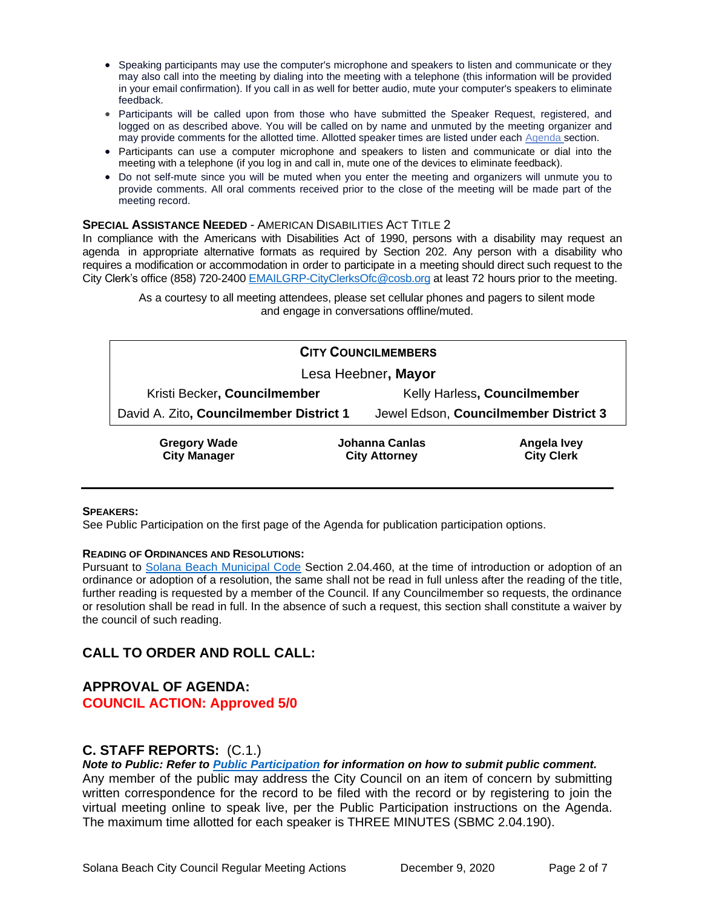- Speaking participants may use the computer's microphone and speakers to listen and communicate or they may also call into the meeting by dialing into the meeting with a telephone (this information will be provided in your email confirmation). If you call in as well for better audio, mute your computer's speakers to eliminate feedback.
- Participants will be called upon from those who have submitted the Speaker Request, registered, and logged on as described above. You will be called on by name and unmuted by the meeting organizer and may provide comments for the allotted time. Allotted speaker times are listed under each [Agenda s](https://urldefense.proofpoint.com/v2/url?u=https-3A__www.ci.solana-2Dbeach.ca.us_index.asp-3FSEC-3DF0F1200D-2D21C6-2D4A88-2D8AE1-2D0BC07C1A81A7-26Type-3DB-5FBASIC&d=DwMFaQ&c=euGZstcaTDllvimEN8b7jXrwqOf-v5A_CdpgnVfiiMM&r=1XAsCUuqwK_tji2t0s1uIQ&m=C7WzXfOw2_nkEFMJClT55zZsF4tmIf_7KTn0o1WpYqI&s=3DcsWExM2_nx_xpvFtXslUjphiXd0MDCCF18y_Qy5yU&e=)ection.
- Participants can use a computer microphone and speakers to listen and communicate or dial into the meeting with a telephone (if you log in and call in, mute one of the devices to eliminate feedback).
- Do not self-mute since you will be muted when you enter the meeting and organizers will unmute you to provide comments. All oral comments received prior to the close of the meeting will be made part of the meeting record.

#### **SPECIAL ASSISTANCE NEEDED** - AMERICAN DISABILITIES ACT TITLE 2

In compliance with the Americans with Disabilities Act of 1990, persons with a disability may request an agenda in appropriate alternative formats as required by Section 202. Any person with a disability who requires a modification or accommodation in order to participate in a meeting should direct such request to the City Clerk's office (858) 720-2400 [EMAILGRP-CityClerksOfc@cosb.org](mailto:EMAILGRP-CityClerksOfc@cosb.org) at least 72 hours prior to the meeting.

As a courtesy to all meeting attendees, please set cellular phones and pagers to silent mode and engage in conversations offline/muted.

| <b>CITY COUNCILMEMBERS</b>                 |                                               |                                       |                                  |
|--------------------------------------------|-----------------------------------------------|---------------------------------------|----------------------------------|
| Lesa Heebner, Mayor                        |                                               |                                       |                                  |
| Kristi Becker, Councilmember               |                                               | Kelly Harless, Councilmember          |                                  |
| David A. Zito, Councilmember District 1    |                                               | Jewel Edson, Councilmember District 3 |                                  |
| <b>Gregory Wade</b><br><b>City Manager</b> | <b>Johanna Canlas</b><br><b>City Attorney</b> |                                       | Angela Ivey<br><b>City Clerk</b> |

#### **SPEAKERS:**

See Public Participation on the first page of the Agenda for publication participation options.

#### **READING OF ORDINANCES AND RESOLUTIONS:**

Pursuant to [Solana Beach Municipal Code](mailto:https://www.codepublishing.com/CA/SolanaBeach/) Section 2.04.460, at the time of introduction or adoption of an ordinance or adoption of a resolution, the same shall not be read in full unless after the reading of the title, further reading is requested by a member of the Council. If any Councilmember so requests, the ordinance or resolution shall be read in full. In the absence of such a request, this section shall constitute a waiver by the council of such reading.

#### **CALL TO ORDER AND ROLL CALL:**

#### **APPROVAL OF AGENDA: COUNCIL ACTION: Approved 5/0**

## **C. STAFF REPORTS:** (C.1.)

*Note to Public: Refer to Public Participation for information on how to submit public comment.* 

Any member of the public may address the City Council on an item of concern by submitting written correspondence for the record to be filed with the record or by registering to join the virtual meeting online to speak live, per the Public Participation instructions on the Agenda. The maximum time allotted for each speaker is THREE MINUTES (SBMC 2.04.190).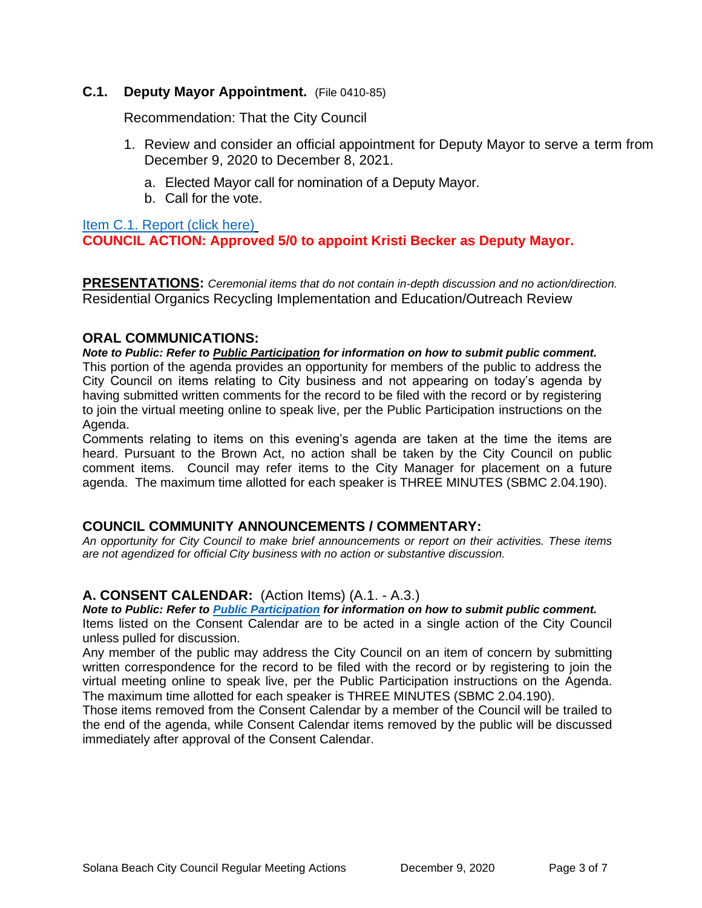#### **C.1. Deputy Mayor Appointment.** (File 0410-85)

Recommendation: That the City Council

- 1. Review and consider an official appointment for Deputy Mayor to serve a term from December 9, 2020 to December 8, 2021.
	- a. Elected Mayor call for nomination of a Deputy Mayor.
	- b. Call for the vote.

## [Item C.1. Report \(click here\)](https://solanabeach.govoffice3.com/vertical/Sites/%7B840804C2-F869-4904-9AE3-720581350CE7%7D/uploads/Item_C.1._Report_(click_here)_12-09-20_-_O.pdf) **COUNCIL ACTION: Approved 5/0 to appoint Kristi Becker as Deputy Mayor.**

**PRESENTATIONS:** *Ceremonial items that do not contain in-depth discussion and no action/direction.* Residential Organics Recycling Implementation and Education/Outreach Review

## **ORAL COMMUNICATIONS:**

*Note to Public: Refer to Public Participation for information on how to submit public comment.*  This portion of the agenda provides an opportunity for members of the public to address the City Council on items relating to City business and not appearing on today's agenda by having submitted written comments for the record to be filed with the record or by registering to join the virtual meeting online to speak live, per the Public Participation instructions on the Agenda.

Comments relating to items on this evening's agenda are taken at the time the items are heard. Pursuant to the Brown Act, no action shall be taken by the City Council on public comment items. Council may refer items to the City Manager for placement on a future agenda. The maximum time allotted for each speaker is THREE MINUTES (SBMC 2.04.190).

## **COUNCIL COMMUNITY ANNOUNCEMENTS / COMMENTARY:**

*An opportunity for City Council to make brief announcements or report on their activities. These items are not agendized for official City business with no action or substantive discussion.* 

## **A. CONSENT CALENDAR:** (Action Items) (A.1. - A.3.)

*Note to Public: Refer to Public Participation for information on how to submit public comment.* 

Items listed on the Consent Calendar are to be acted in a single action of the City Council unless pulled for discussion.

Any member of the public may address the City Council on an item of concern by submitting written correspondence for the record to be filed with the record or by registering to join the virtual meeting online to speak live, per the Public Participation instructions on the Agenda. The maximum time allotted for each speaker is THREE MINUTES (SBMC 2.04.190).

Those items removed from the Consent Calendar by a member of the Council will be trailed to the end of the agenda, while Consent Calendar items removed by the public will be discussed immediately after approval of the Consent Calendar.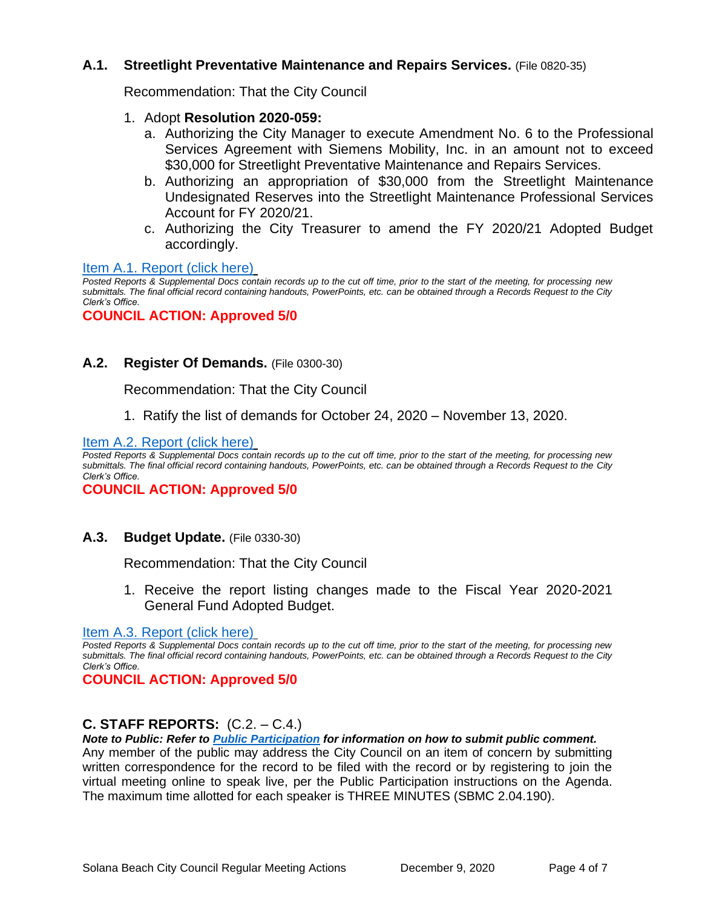#### **A.1. Streetlight Preventative Maintenance and Repairs Services.** (File 0820-35)

Recommendation: That the City Council

#### 1. Adopt **Resolution 2020-059:**

- a. Authorizing the City Manager to execute Amendment No. 6 to the Professional Services Agreement with Siemens Mobility, Inc. in an amount not to exceed \$30,000 for Streetlight Preventative Maintenance and Repairs Services.
- b. Authorizing an appropriation of \$30,000 from the Streetlight Maintenance Undesignated Reserves into the Streetlight Maintenance Professional Services Account for FY 2020/21.
- c. Authorizing the City Treasurer to amend the FY 2020/21 Adopted Budget accordingly.

#### [Item A.1. Report \(click here\)](https://solanabeach.govoffice3.com/vertical/Sites/%7B840804C2-F869-4904-9AE3-720581350CE7%7D/uploads/Item_A.1._Report_(click_here)_12-09-20_-_O.pdf)

*Posted Reports & Supplemental Docs contain records up to the cut off time, prior to the start of the meeting, for processing new submittals. The final official record containing handouts, PowerPoints, etc. can be obtained through a Records Request to the City Clerk's Office.*

#### **COUNCIL ACTION: Approved 5/0**

#### **A.2. Register Of Demands.** (File 0300-30)

Recommendation: That the City Council

1. Ratify the list of demands for October 24, 2020 – November 13, 2020.

[Item A.2. Report \(click here\)](https://solanabeach.govoffice3.com/vertical/Sites/%7B840804C2-F869-4904-9AE3-720581350CE7%7D/uploads/Item_A.2._Report_(click_here)_12-09-20_-_O.pdf)

*Posted Reports & Supplemental Docs contain records up to the cut off time, prior to the start of the meeting, for processing new submittals. The final official record containing handouts, PowerPoints, etc. can be obtained through a Records Request to the City Clerk's Office.*

#### **COUNCIL ACTION: Approved 5/0**

## **A.3. Budget Update.** (File 0330-30)

Recommendation: That the City Council

1. Receive the report listing changes made to the Fiscal Year 2020-2021 General Fund Adopted Budget.

#### [Item A.3. Report \(click here\)](https://solanabeach.govoffice3.com/vertical/Sites/%7B840804C2-F869-4904-9AE3-720581350CE7%7D/uploads/Item_A.3._Report_(click_here)_12-09-20_-_O.pdf)

*Posted Reports & Supplemental Docs contain records up to the cut off time, prior to the start of the meeting, for processing new submittals. The final official record containing handouts, PowerPoints, etc. can be obtained through a Records Request to the City Clerk's Office.*

**COUNCIL ACTION: Approved 5/0**

## **C. STAFF REPORTS:** (C.2. – C.4.)

*Note to Public: Refer to Public Participation for information on how to submit public comment.*  Any member of the public may address the City Council on an item of concern by submitting written correspondence for the record to be filed with the record or by registering to join the virtual meeting online to speak live, per the Public Participation instructions on the Agenda. The maximum time allotted for each speaker is THREE MINUTES (SBMC 2.04.190).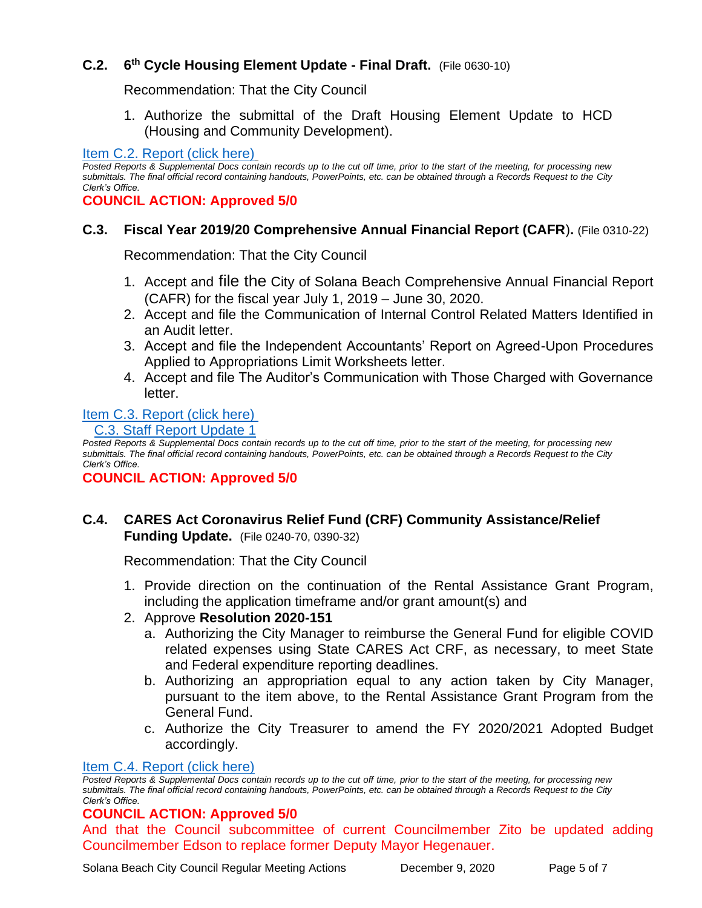## **C.2. 6 th Cycle Housing Element Update - Final Draft.** (File 0630-10)

Recommendation: That the City Council

1. Authorize the submittal of the Draft Housing Element Update to HCD (Housing and Community Development).

#### [Item C.2. Report \(click here\)](https://solanabeach.govoffice3.com/vertical/Sites/%7B840804C2-F869-4904-9AE3-720581350CE7%7D/uploads/Item_C.2._Report_(click_here)_12-09-20_-_O.pdf)

*Posted Reports & Supplemental Docs contain records up to the cut off time, prior to the start of the meeting, for processing new submittals. The final official record containing handouts, PowerPoints, etc. can be obtained through a Records Request to the City Clerk's Office.*

**COUNCIL ACTION: Approved 5/0**

#### **C.3. Fiscal Year 2019/20 Comprehensive Annual Financial Report (CAFR**)**.** (File 0310-22)

Recommendation: That the City Council

- 1. Accept and file the City of Solana Beach Comprehensive Annual Financial Report (CAFR) for the fiscal year July 1, 2019 – June 30, 2020.
- 2. Accept and file the Communication of Internal Control Related Matters Identified in an Audit letter.
- 3. Accept and file the Independent Accountants' Report on Agreed-Upon Procedures Applied to Appropriations Limit Worksheets letter.
- 4. Accept and file The Auditor's Communication with Those Charged with Governance letter.

## [Item C.3. Report](https://solanabeach.govoffice3.com/vertical/Sites/%7B840804C2-F869-4904-9AE3-720581350CE7%7D/uploads/Item_C.3._Report_(click_here)_12-09-20_-_O(1).pdf) (click here)

#### C.3. Staff [Report Update 1](https://solanabeach.govoffice3.com/vertical/Sites/%7B840804C2-F869-4904-9AE3-720581350CE7%7D/uploads/C.3_Staff_Report_Update_1_-_O.pdf)

*Posted Reports & Supplemental Docs contain records up to the cut off time, prior to the start of the meeting, for processing new submittals. The final official record containing handouts, PowerPoints, etc. can be obtained through a Records Request to the City Clerk's Office.*

#### **COUNCIL ACTION: Approved 5/0**

## **C.4. CARES Act Coronavirus Relief Fund (CRF) Community Assistance/Relief Funding Update.** (File 0240-70, 0390-32)

Recommendation: That the City Council

- 1. Provide direction on the continuation of the Rental Assistance Grant Program, including the application timeframe and/or grant amount(s) and
- 2. Approve **Resolution 2020-151**
	- a. Authorizing the City Manager to reimburse the General Fund for eligible COVID related expenses using State CARES Act CRF, as necessary, to meet State and Federal expenditure reporting deadlines.
	- b. Authorizing an appropriation equal to any action taken by City Manager, pursuant to the item above, to the Rental Assistance Grant Program from the General Fund.
	- c. Authorize the City Treasurer to amend the FY 2020/2021 Adopted Budget accordingly.

#### [Item C.4. Report](https://solanabeach.govoffice3.com/vertical/Sites/%7B840804C2-F869-4904-9AE3-720581350CE7%7D/uploads/Item_C.4._Report_(click_here)_12-09-20_-_O.pdf) (click here)

*Posted Reports & Supplemental Docs contain records up to the cut off time, prior to the start of the meeting, for processing new submittals. The final official record containing handouts, PowerPoints, etc. can be obtained through a Records Request to the City Clerk's Office.*

## **COUNCIL ACTION: Approved 5/0**

And that the Council subcommittee of current Councilmember Zito be updated adding Councilmember Edson to replace former Deputy Mayor Hegenauer.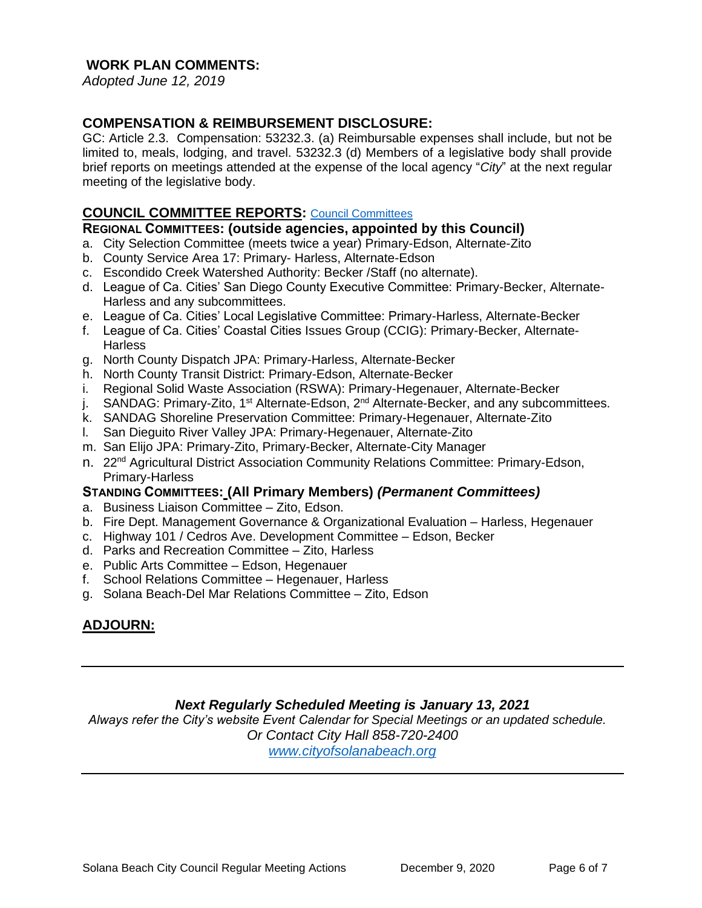## **WORK PLAN COMMENTS:**

*Adopted June 12, 2019*

#### **COMPENSATION & REIMBURSEMENT DISCLOSURE:**

GC: Article 2.3. Compensation: 53232.3. (a) Reimbursable expenses shall include, but not be limited to, meals, lodging, and travel. 53232.3 (d) Members of a legislative body shall provide brief reports on meetings attended at the expense of the local agency "*City*" at the next regular meeting of the legislative body.

#### **COUNCIL COMMITTEE REPORTS:** [Council Committees](https://www.ci.solana-beach.ca.us/index.asp?SEC=584E1192-3850-46EA-B977-088AC3E81E0D&Type=B_BASIC)

#### **REGIONAL COMMITTEES: (outside agencies, appointed by this Council)**

- a. City Selection Committee (meets twice a year) Primary-Edson, Alternate-Zito
- b. County Service Area 17: Primary- Harless, Alternate-Edson
- c. Escondido Creek Watershed Authority: Becker /Staff (no alternate).
- d. League of Ca. Cities' San Diego County Executive Committee: Primary-Becker, Alternate-Harless and any subcommittees.
- e. League of Ca. Cities' Local Legislative Committee: Primary-Harless, Alternate-Becker
- f. League of Ca. Cities' Coastal Cities Issues Group (CCIG): Primary-Becker, Alternate-**Harless**
- g. North County Dispatch JPA: Primary-Harless, Alternate-Becker
- h. North County Transit District: Primary-Edson, Alternate-Becker
- i. Regional Solid Waste Association (RSWA): Primary-Hegenauer, Alternate-Becker
- j. SANDAG: Primary-Zito, 1<sup>st</sup> Alternate-Edson, 2<sup>nd</sup> Alternate-Becker, and any subcommittees.
- k. SANDAG Shoreline Preservation Committee: Primary-Hegenauer, Alternate-Zito
- l. San Dieguito River Valley JPA: Primary-Hegenauer, Alternate-Zito
- m. San Elijo JPA: Primary-Zito, Primary-Becker, Alternate-City Manager
- n. 22nd Agricultural District Association Community Relations Committee: Primary-Edson, Primary-Harless

#### **STANDING COMMITTEES: (All Primary Members)** *(Permanent Committees)*

- a. Business Liaison Committee Zito, Edson.
- b. Fire Dept. Management Governance & Organizational Evaluation Harless, Hegenauer
- c. Highway 101 / Cedros Ave. Development Committee Edson, Becker
- d. Parks and Recreation Committee Zito, Harless
- e. Public Arts Committee Edson, Hegenauer
- f. School Relations Committee Hegenauer, Harless
- g. Solana Beach-Del Mar Relations Committee Zito, Edson

## **ADJOURN:**

## *Next Regularly Scheduled Meeting is January 13, 2021*

*Always refer the City's website Event Calendar for Special Meetings or an updated schedule. Or Contact City Hall 858-720-2400 [www.cityofsolanabeach.org](http://www.cityofsolanabeach.org/)*